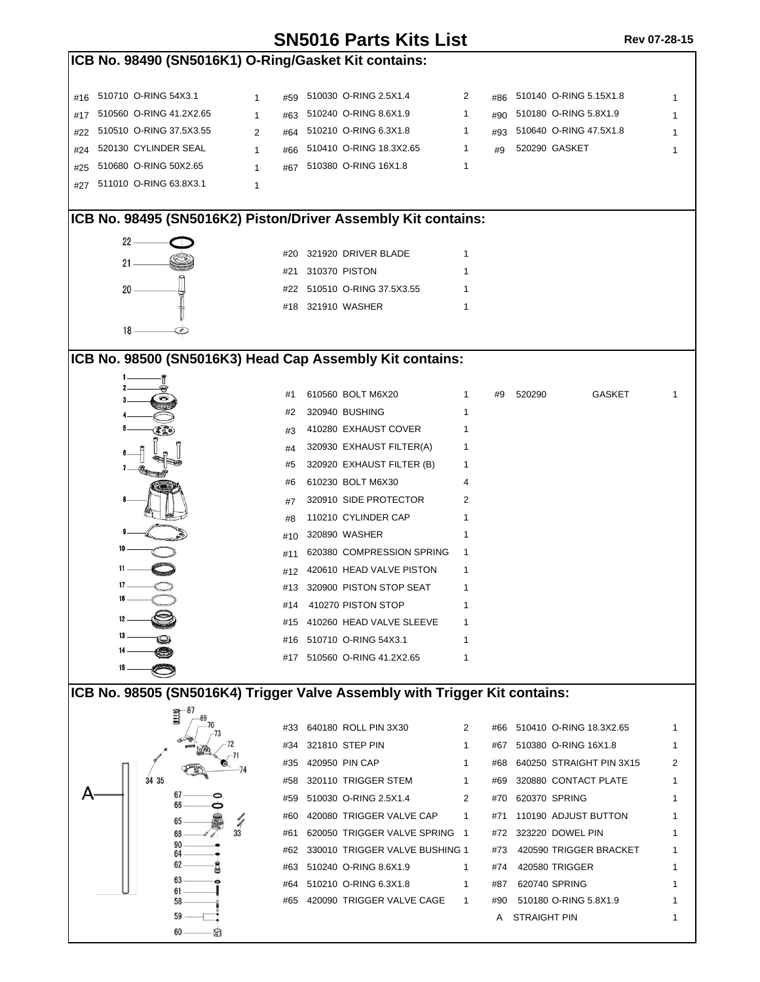